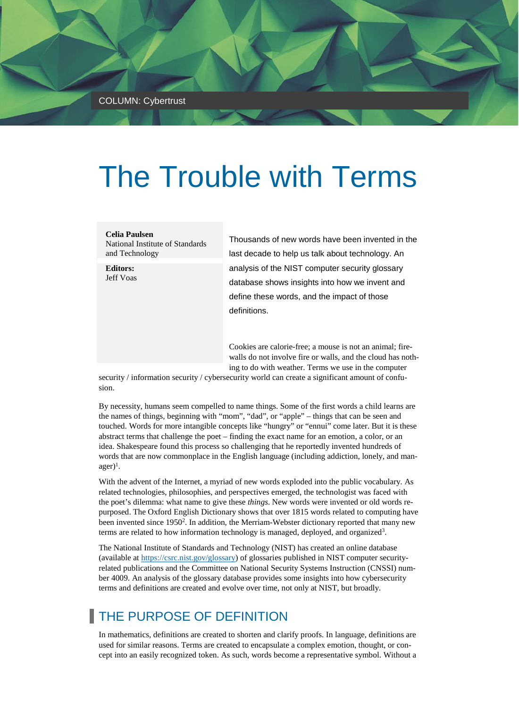# The Trouble with Terms

#### **Celia Paulsen**

National Institute of Standards and Technology

**Editors:** Jeff Voas Thousands of new words have been invented in the last decade to help us talk about technology. An analysis of the NIST computer security glossary database shows insights into how we invent and define these words, and the impact of those definitions.

Cookies are calorie-free; a mouse is not an animal; firewalls do not involve fire or walls, and the cloud has nothing to do with weather. Terms we use in the computer

security / information security / cybersecurity world can create a significant amount of confusion.

By necessity, humans seem compelled to name things. Some of the first words a child learns are the names of things, beginning with "mom", "dad", or "apple" – things that can be seen and touched. Words for more intangible concepts like "hungry" or "ennui" come later. But it is these abstract terms that challenge the poet – finding the exact name for an emotion, a color, or an idea. Shakespeare found this process so challenging that he reportedly invented hundreds of words that are now commonplace in the English language (including addiction, lonely, and manager) 1.

With the advent of the Internet, a myriad of new words exploded into the public vocabulary. As related technologies, philosophies, and perspectives emerged, the technologist was faced with the poet's dilemma: what name to give these *things*. New words were invented or old words repurposed. The Oxford English Dictionary shows that over 1815 words related to computing have been invented since 1950<sup>2</sup>. In addition, the Merriam-Webster dictionary reported that many new terms are related to how information technology is managed, deployed, and organized<sup>3</sup>.

The National Institute of Standards and Technology (NIST) has created an online database (available a[t https://csrc.nist.gov/glossary\)](https://csrc.nist.gov/glossary) of glossaries published in NIST computer securityrelated publications and the Committee on National Security Systems Instruction (CNSSI) number 4009. An analysis of the glossary database provides some insights into how cybersecurity terms and definitions are created and evolve over time, not only at NIST, but broadly.

## **THE PURPOSE OF DEFINITION**

In mathematics, definitions are created to shorten and clarify proofs. In language, definitions are used for similar reasons. Terms are created to encapsulate a complex emotion, thought, or concept into an easily recognized token. As such, words become a representative symbol. Without a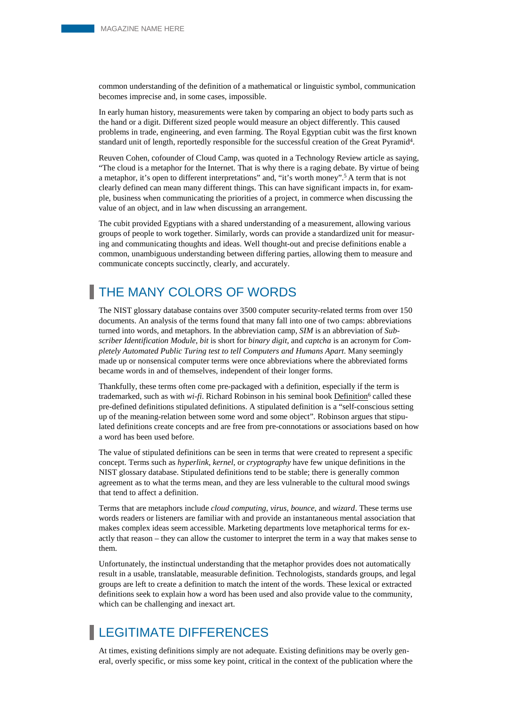common understanding of the definition of a mathematical or linguistic symbol, communication becomes imprecise and, in some cases, impossible.

In early human history, measurements were taken by comparing an object to body parts such as the hand or a digit. Different sized people would measure an object differently. This caused problems in trade, engineering, and even farming. The Royal Egyptian cubit was the first known standard unit of length, reportedly responsible for the successful creation of the Great Pyramid4.

Reuven Cohen, cofounder of Cloud Camp, was quoted in a Technology Review article as saying, "The cloud is a metaphor for the Internet. That is why there is a raging debate. By virtue of being a metaphor, it's open to different interpretations" and, "it's worth money".5 A term that is not clearly defined can mean many different things. This can have significant impacts in, for example, business when communicating the priorities of a project, in commerce when discussing the value of an object, and in law when discussing an arrangement.

The cubit provided Egyptians with a shared understanding of a measurement, allowing various groups of people to work together. Similarly, words can provide a standardized unit for measuring and communicating thoughts and ideas. Well thought-out and precise definitions enable a common, unambiguous understanding between differing parties, allowing them to measure and communicate concepts succinctly, clearly, and accurately.

## THE MANY COLORS OF WORDS

The NIST glossary database contains over 3500 computer security-related terms from over 150 documents. An analysis of the terms found that many fall into one of two camps: abbreviations turned into words, and metaphors. In the abbreviation camp, *SIM* is an abbreviation of *Subscriber Identification Module*, *bit* is short for *binary digit*, and *captcha* is an acronym for *Completely Automated Public Turing test to tell Computers and Humans Apart*. Many seemingly made up or nonsensical computer terms were once abbreviations where the abbreviated forms became words in and of themselves, independent of their longer forms.

Thankfully, these terms often come pre-packaged with a definition, especially if the term is trademarked, such as with *wi-fi*. Richard Robinson in his seminal book Definition<sup>6</sup> called these pre-defined definitions stipulated definitions. A stipulated definition is a "self-conscious setting up of the meaning-relation between some word and some object". Robinson argues that stipulated definitions create concepts and are free from pre-connotations or associations based on how a word has been used before.

The value of stipulated definitions can be seen in terms that were created to represent a specific concept. Terms such as *hyperlink*, *kernel*, or *cryptography* have few unique definitions in the NIST glossary database. Stipulated definitions tend to be stable; there is generally common agreement as to what the terms mean, and they are less vulnerable to the cultural mood swings that tend to affect a definition.

Terms that are metaphors include *cloud computing*, *virus, bounce*, and *wizard*. These terms use words readers or listeners are familiar with and provide an instantaneous mental association that makes complex ideas seem accessible. Marketing departments love metaphorical terms for exactly that reason – they can allow the customer to interpret the term in a way that makes sense to them.

Unfortunately, the instinctual understanding that the metaphor provides does not automatically result in a usable, translatable, measurable definition. Technologists, standards groups, and legal groups are left to create a definition to match the intent of the words. These lexical or extracted definitions seek to explain how a word has been used and also provide value to the community, which can be challenging and inexact art.

## LEGITIMATE DIFFERENCES

At times, existing definitions simply are not adequate. Existing definitions may be overly general, overly specific, or miss some key point, critical in the context of the publication where the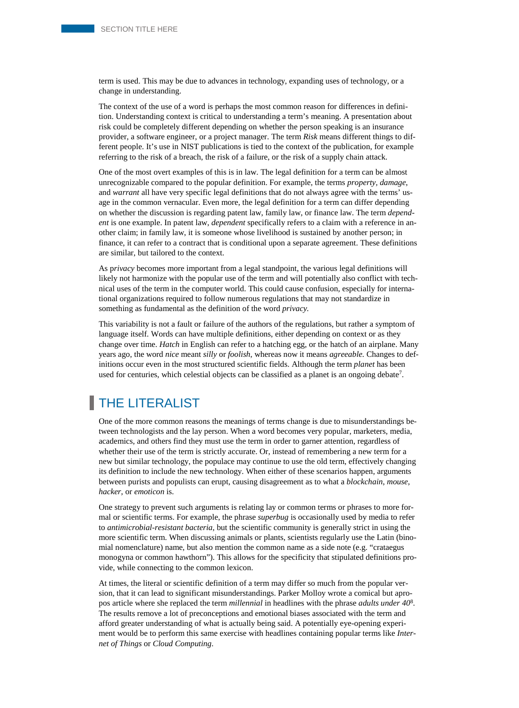term is used. This may be due to advances in technology, expanding uses of technology, or a change in understanding.

The context of the use of a word is perhaps the most common reason for differences in definition. Understanding context is critical to understanding a term's meaning. A presentation about risk could be completely different depending on whether the person speaking is an insurance provider, a software engineer, or a project manager. The term *Risk* means different things to different people. It's use in NIST publications is tied to the context of the publication, for example referring to the risk of a breach, the risk of a failure, or the risk of a supply chain attack.

One of the most overt examples of this is in law. The legal definition for a term can be almost unrecognizable compared to the popular definition. For example, the terms *property, damage*, and *warrant* all have very specific legal definitions that do not always agree with the terms' usage in the common vernacular. Even more, the legal definition for a term can differ depending on whether the discussion is regarding patent law, family law, or finance law. The term *dependent* is one example. In patent law, *dependent* specifically refers to a claim with a reference in another claim; in family law, it is someone whose livelihood is sustained by another person; in finance, it can refer to a contract that is conditional upon a separate agreement. These definitions are similar, but tailored to the context.

As p*rivacy* becomes more important from a legal standpoint, the various legal definitions will likely not harmonize with the popular use of the term and will potentially also conflict with technical uses of the term in the computer world. This could cause confusion, especially for international organizations required to follow numerous regulations that may not standardize in something as fundamental as the definition of the word *privacy.*

This variability is not a fault or failure of the authors of the regulations, but rather a symptom of language itself. Words can have multiple definitions, either depending on context or as they change over time. *Hatch* in English can refer to a hatching egg, or the hatch of an airplane. Many years ago, the word *nice* meant *silly* or *foolish*, whereas now it means *agreeable.* Changes to definitions occur even in the most structured scientific fields. Although the term *planet* has been used for centuries, which celestial objects can be classified as a planet is an ongoing debate<sup>7</sup>.

#### THE LITERALIST

One of the more common reasons the meanings of terms change is due to misunderstandings between technologists and the lay person. When a word becomes very popular, marketers, media, academics, and others find they must use the term in order to garner attention, regardless of whether their use of the term is strictly accurate. Or, instead of remembering a new term for a new but similar technology, the populace may continue to use the old term, effectively changing its definition to include the new technology. When either of these scenarios happen, arguments between purists and populists can erupt, causing disagreement as to what a *blockchain*, *mouse*, *hacker*, or *emoticon* is.

One strategy to prevent such arguments is relating lay or common terms or phrases to more formal or scientific terms. For example, the phrase *superbug* is occasionally used by media to refer to *antimicrobial-resistant bacteria*, but the scientific community is generally strict in using the more scientific term. When discussing animals or plants, scientists regularly use the Latin (binomial nomenclature) name, but also mention the common name as a side note (e.g. "crataegus monogyna or common hawthorn"). This allows for the specificity that stipulated definitions provide, while connecting to the common lexicon.

At times, the literal or scientific definition of a term may differ so much from the popular version, that it can lead to significant misunderstandings. Parker Molloy wrote a comical but apropos article where she replaced the term *millennial* in headlines with the phrase *adults under 40*<sup>8</sup> . The results remove a lot of preconceptions and emotional biases associated with the term and afford greater understanding of what is actually being said. A potentially eye-opening experiment would be to perform this same exercise with headlines containing popular terms like *Internet of Things* or *Cloud Computing*.